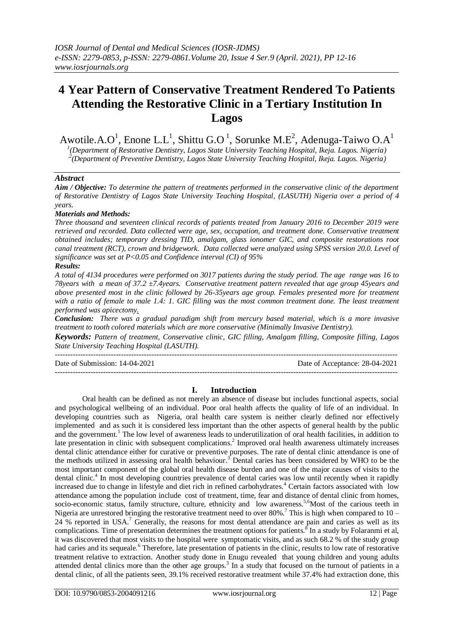# **4 Year Pattern of Conservative Treatment Rendered To Patients Attending the Restorative Clinic in a Tertiary Institution In Lagos**

Awotile.A.O<sup>1</sup>, Enone L.L<sup>1</sup>, Shittu G.O<sup>1</sup>, Sorunke M.E<sup>2</sup>, Adenuga-Taiwo O.A<sup>1</sup> *1 (Department of Restorative Dentistry, Lagos State University Teaching Hospital, Ikeja. Lagos. Nigeria)* .*2 (Department of Preventive Dentistry, Lagos State University Teaching Hospital, Ikeja. Lagos. Nigeria)*

## *Abstract*

*Aim / Objective: To determine the pattern of treatments performed in the conservative clinic of the department of Restorative Dentistry of Lagos State University Teaching Hospital, (LASUTH) Nigeria over a period of 4 years.*

## *Materials and Methods:*

*Three thousand and seventeen clinical records of patients treated from January 2016 to December 2019 were retrieved and recorded. Data collected were age, sex, occupation, and treatment done. Conservative treatment obtained includes; temporary dressing TID, amalgam, glass ionomer GIC, and composite restorations root canal treatment (RCT), crown and bridgework. Data collected were analyzed using SPSS version 20.0. Level of significance was set at P<0.05 and Confidence interval (CI) of 95%*

#### *Results:*

*A total of 4134 procedures were performed on 3017 patients during the study period. The age range was 16 to 78years with a mean of 37.2 ±7.4years. Conservative treatment pattern revealed that age group 45years and above presented most in the clinic followed by 26-35years age group. Females presented more for treatment with a ratio of female to male 1.4: 1. GIC filling was the most common treatment done. The least treatment performed was apicectomy.*

*Conclusion: There was a gradual paradigm shift from mercury based material, which is a more invasive treatment to tooth colored materials which are more conservative (Minimally Invasive Dentistry).*

*Keywords: Pattern of treatment, Conservative clinic, GIC filling, Amalgam filling, Composite filling, Lagos State University Teaching Hospital (LASUTH).*

--------------------------------------------------------------------------------------------------------------------------------------- Date of Submission: 14-04-2021 Date of Acceptance: 28-04-2021

---------------------------------------------------------------------------------------------------------------------------------------

# **I. Introduction**

Oral health can be defined as not merely an absence of disease but includes functional aspects, social and psychological wellbeing of an individual. Poor oral health affects the quality of life of an individual. In developing countries such as Nigeria, oral health care system is neither clearly defined nor effectively implemented and as such it is considered less important than the other aspects of general health by the public and the government.<sup>1</sup> The low level of awareness leads to underutilization of oral health facilities, in addition to late presentation in clinic with subsequent complications.<sup>2</sup> Improved oral health awareness ultimately increases dental clinic attendance either for curative or preventive purposes. The rate of dental clinic attendance is one of the methods utilized in assessing oral health behaviour.<sup>3</sup> Dental caries has been considered by WHO to be the most important component of the global oral health disease burden and one of the major causes of visits to the dental clinic.<sup>4</sup> In most developing countries prevalence of dental caries was low until recently when it rapidly increased due to change in lifestyle and diet rich in refined carbohydrates. <sup>4</sup> Certain factors associated with low attendance among the population include cost of treatment, time, fear and distance of dental clinic from homes, socio-economic status, family structure, culture, ethnicity and low awareness.<sup>5,6</sup>Most of the carious teeth in Nigeria are unrestored bringing the restorative treatment need to over 80%.<sup>7</sup> This is high when compared to  $10 -$ 24 % reported in USA.<sup>7</sup> Generally, the reasons for most dental attendance are pain and caries as well as its complications. Time of presentation determines the treatment options for patients.<sup>8</sup> In a study by Folaranmi et al, it was discovered that most visits to the hospital were symptomatic visits, and as such 68.2 % of the study group had caries and its sequeale.<sup>6</sup> Therefore, late presentation of patients in the clinic, results to low rate of restorative treatment relative to extraction. Another study done in Enugu revealed that young children and young adults attended dental clinics more than the other age groups.<sup>3</sup> In a study that focused on the turnout of patients in a dental clinic, of all the patients seen, 39.1% received restorative treatment while 37.4% had extraction done, this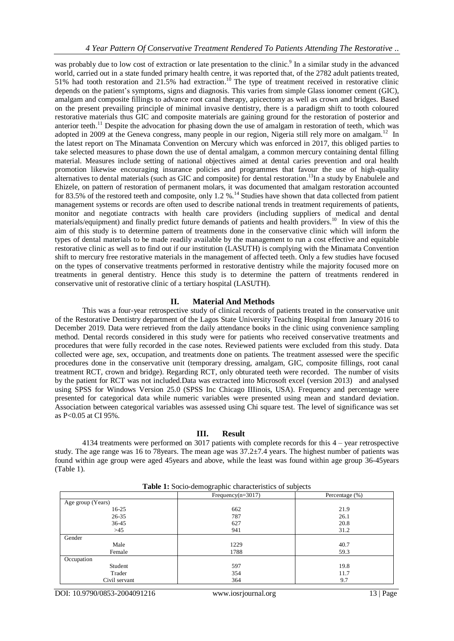was probably due to low cost of extraction or late presentation to the clinic.<sup>9</sup> In a similar study in the advanced world, carried out in a state funded primary health centre, it was reported that, of the 2782 adult patients treated, 51% had tooth restoration and 21.5% had extraction.<sup>10</sup> The type of treatment received in restorative clinic depends on the patient's symptoms, signs and diagnosis. This varies from simple Glass ionomer cement (GIC), amalgam and composite fillings to advance root canal therapy, apicectomy as well as crown and bridges. Based on the present prevailing principle of minimal invasive dentistry, there is a paradigm shift to tooth coloured restorative materials thus GIC and composite materials are gaining ground for the restoration of posterior and anterior teeth.<sup>11</sup> Despite the advocation for phasing down the use of amalgam in restoration of teeth, which was adopted in 2009 at the Geneva congress, many people in our region, Nigeria still rely more on amalgam.<sup>12</sup> In the latest report on The Minamata Convention on Mercury which was enforced in 2017, this obliged parties to take selected measures to phase down the use of dental amalgam, a common mercury containing dental filling material. Measures include setting of national objectives aimed at dental caries prevention and oral health promotion likewise encouraging insurance policies and programmes that favour the use of high-quality alternatives to dental materials (such as GIC and composite) for dental restoration.<sup>13</sup>In a study by Enabulele and Ehizele, on pattern of restoration of permanent molars, it was documented that amalgam restoration accounted for 83.5% of the restored teeth and composite, only 1.2 %.<sup>14</sup> Studies have shown that data collected from patient management systems or records are often used to describe national trends in treatment requirements of patients, monitor and negotiate contracts with health care providers (including suppliers of medical and dental materials/equipment) and finally predict future demands of patients and health providers.<sup>10</sup> In view of this the aim of this study is to determine pattern of treatments done in the conservative clinic which will inform the types of dental materials to be made readily available by the management to run a cost effective and equitable restorative clinic as well as to find out if our institution (LASUTH) is complying with the Minamata Convention shift to mercury free restorative materials in the management of affected teeth. Only a few studies have focused on the types of conservative treatments performed in restorative dentistry while the majority focused more on treatments in general dentistry. Hence this study is to determine the pattern of treatments rendered in conservative unit of restorative clinic of a tertiary hospital (LASUTH).

## **II. Material And Methods**

This was a four-year retrospective study of clinical records of patients treated in the conservative unit of the Restorative Dentistry department of the Lagos State University Teaching Hospital from January 2016 to December 2019. Data were retrieved from the daily attendance books in the clinic using convenience sampling method. Dental records considered in this study were for patients who received conservative treatments and procedures that were fully recorded in the case notes. Reviewed patients were excluded from this study. Data collected were age, sex, occupation, and treatments done on patients. The treatment assessed were the specific procedures done in the conservative unit (temporary dressing, amalgam, GIC, composite fillings, root canal treatment RCT, crown and bridge). Regarding RCT, only obturated teeth were recorded. The number of visits by the patient for RCT was not included.Data was extracted into Microsoft excel (version 2013) and analysed using SPSS for Windows Version 25.0 (SPSS Inc Chicago IIIinois, USA). Frequency and percentage were presented for categorical data while numeric variables were presented using mean and standard deviation. Association between categorical variables was assessed using Chi square test. The level of significance was set as P<0.05 at CI 95%.

# **III. Result**

4134 treatments were performed on 3017 patients with complete records for this 4 – year retrospective study. The age range was 16 to 78years. The mean age was 37.2±7.4 years. The highest number of patients was found within age group were aged 45years and above, while the least was found within age group 36-45years (Table 1).

|                   | Frequency $(n=3017)$ | Percentage $(\%)$ |
|-------------------|----------------------|-------------------|
| Age group (Years) |                      |                   |
| $16-25$           | 662                  | 21.9              |
| $26 - 35$         | 787                  | 26.1              |
| 36-45             | 627                  | 20.8              |
| $>45$             | 941                  | 31.2              |
| Gender            |                      |                   |
| Male              | 1229                 | 40.7              |
| Female            | 1788                 | 59.3              |
| Occupation        |                      |                   |
| Student           | 597                  | 19.8              |
| Trader            | 354                  | 11.7              |
| Civil servant     | 364                  | 9.7               |

**Table 1:** Socio-demographic characteristics of subjects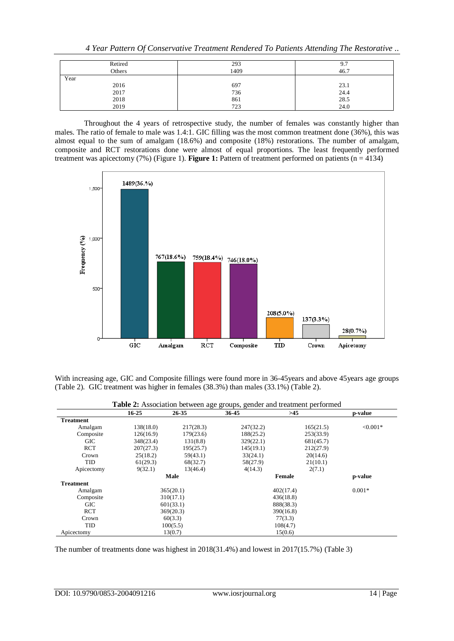*4 Year Pattern Of Conservative Treatment Rendered To Patients Attending The Restorative ..*

| Retired | 293  | 9.7  |
|---------|------|------|
| Others  | 1409 | 46.7 |
| Year    |      |      |
| 2016    | 697  | 23.1 |
| 2017    | 736  | 24.4 |
| 2018    | 861  | 28.5 |
| 2019    | 723  | 24.0 |

Throughout the 4 years of retrospective study, the number of females was constantly higher than males. The ratio of female to male was 1.4:1. GIC filling was the most common treatment done (36%), this was almost equal to the sum of amalgam (18.6%) and composite (18%) restorations. The number of amalgam, composite and RCT restorations done were almost of equal proportions. The least frequently performed treatment was apicectomy (7%) (Figure 1). **Figure 1:** Pattern of treatment performed on patients (n = 4134)



With increasing age, GIC and Composite fillings were found more in 36-45 years and above 45 years age groups (Table 2). GIC treatment was higher in females (38.3%) than males (33.1%) (Table 2).

|                  | <b>rative 2.</b> Association between age groups, genuer and treatment performed |           |           |           |            |
|------------------|---------------------------------------------------------------------------------|-----------|-----------|-----------|------------|
|                  | $16 - 25$                                                                       | 26-35     | 36-45     | $>45$     | p-value    |
| <b>Treatment</b> |                                                                                 |           |           |           |            |
| Amalgam          | 138(18.0)                                                                       | 217(28.3) | 247(32.2) | 165(21.5) | $< 0.001*$ |
| Composite        | 126(16.9)                                                                       | 179(23.6) | 188(25.2) | 253(33.9) |            |
| <b>GIC</b>       | 348(23.4)                                                                       | 131(8.8)  | 329(22.1) | 681(45.7) |            |
| <b>RCT</b>       | 207(27.3)                                                                       | 195(25.7) | 145(19.1) | 212(27.9) |            |
| Crown            | 25(18.2)                                                                        | 59(43.1)  | 33(24.1)  | 20(14.6)  |            |
| TID              | 61(29.3)                                                                        | 68(32.7)  | 58(27.9)  | 21(10.1)  |            |
| Apicectomy       | 9(32.1)                                                                         | 13(46.4)  | 4(14.3)   | 2(7.1)    |            |
|                  |                                                                                 | Male      |           | Female    |            |
| <b>Treatment</b> |                                                                                 |           |           |           |            |
| Amalgam          |                                                                                 | 365(20.1) |           | 402(17.4) | $0.001*$   |
| Composite        |                                                                                 | 310(17.1) |           | 436(18.8) |            |
| <b>GIC</b>       |                                                                                 | 601(33.1) |           | 888(38.3) |            |
| <b>RCT</b>       | 369(20.3)                                                                       |           | 390(16.8) |           |            |
| Crown            |                                                                                 | 60(3.3)   |           | 77(3.3)   |            |
| TID              | 100(5.5)                                                                        |           |           | 108(4.7)  |            |
| Apicectomy       | 13(0.7)                                                                         |           |           | 15(0.6)   |            |

**Table 2:** Association between age groups, gender and treatment performed

The number of treatments done was highest in 2018(31.4%) and lowest in 2017(15.7%) (Table 3)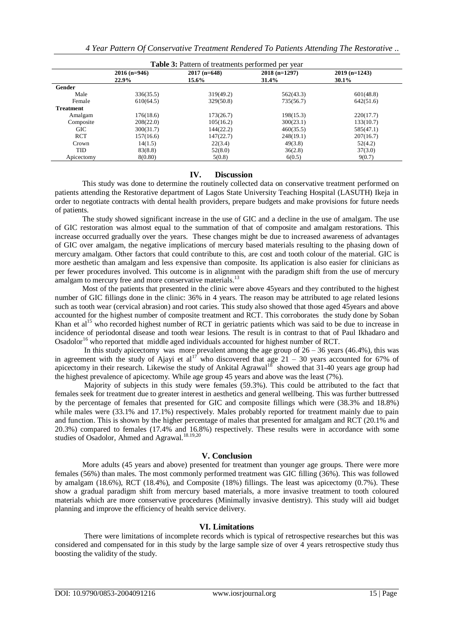| <b>Table 3:</b> Pattern of treatments performed per year |                        |                         |                         |                             |  |  |
|----------------------------------------------------------|------------------------|-------------------------|-------------------------|-----------------------------|--|--|
|                                                          | $2016(n=946)$<br>22.9% | $2017$ (n=648)<br>15.6% | $2018(n=1297)$<br>31.4% | $2019$ (n=1243)<br>$30.1\%$ |  |  |
| Gender                                                   |                        |                         |                         |                             |  |  |
| Male                                                     | 336(35.5)              | 319(49.2)               | 562(43.3)               | 601(48.8)                   |  |  |
| Female                                                   | 610(64.5)              | 329(50.8)               | 735(56.7)               | 642(51.6)                   |  |  |
| <b>Treatment</b>                                         |                        |                         |                         |                             |  |  |
| Amalgam                                                  | 176(18.6)              | 173(26.7)               | 198(15.3)               | 220(17.7)                   |  |  |
| Composite                                                | 208(22.0)              | 105(16.2)               | 300(23.1)               | 133(10.7)                   |  |  |
| <b>GIC</b>                                               | 300(31.7)              | 144(22.2)               | 460(35.5)               | 585(47.1)                   |  |  |
| <b>RCT</b>                                               | 157(16.6)              | 147(22.7)               | 248(19.1)               | 207(16.7)                   |  |  |
| Crown                                                    | 14(1.5)                | 22(3.4)                 | 49(3.8)                 | 52(4.2)                     |  |  |
| <b>TID</b>                                               | 83(8.8)                | 52(8.0)                 | 36(2.8)                 | 37(3.0)                     |  |  |
| Apicectomy                                               | 8(0.80)                | 5(0.8)                  | 6(0.5)                  | 9(0.7)                      |  |  |

## **IV. Discussion**

This study was done to determine the routinely collected data on conservative treatment performed on patients attending the Restorative department of Lagos State University Teaching Hospital (LASUTH) Ikeja in order to negotiate contracts with dental health providers, prepare budgets and make provisions for future needs of patients.

The study showed significant increase in the use of GIC and a decline in the use of amalgam. The use of GIC restoration was almost equal to the summation of that of composite and amalgam restorations. This increase occurred gradually over the years. These changes might be due to increased awareness of advantages of GIC over amalgam, the negative implications of mercury based materials resulting to the phasing down of mercury amalgam. Other factors that could contribute to this, are cost and tooth colour of the material. GIC is more aesthetic than amalgam and less expensive than composite. Its application is also easier for clinicians as per fewer procedures involved. This outcome is in alignment with the paradigm shift from the use of mercury amalgam to mercury free and more conservative materials.<sup>13</sup>

Most of the patients that presented in the clinic were above 45years and they contributed to the highest number of GIC fillings done in the clinic: 36% in 4 years. The reason may be attributed to age related lesions such as tooth wear (cervical abrasion) and root caries. This study also showed that those aged 45years and above accounted for the highest number of composite treatment and RCT. This corroborates the study done by Soban Khan et al<sup>15</sup> who recorded highest number of RCT in geriatric patients which was said to be due to increase in incidence of periodontal disease and tooth wear lesions. The result is in contrast to that of Paul Ikhadaro and Osadolor<sup>16</sup> who reported that middle aged individuals accounted for highest number of RCT.

In this study apicectomy was more prevalent among the age group of  $26 - 36$  years (46.4%), this was in agreement with the study of Ajayi et al<sup>17</sup> who discovered that age  $21 - 30$  years accounted for 67% of apicectomy in their research. Likewise the study of Ankital Agrawal<sup>18</sup> showed that 31-40 years age group had the highest prevalence of apicectomy. While age group 45 years and above was the least (7%).

Majority of subjects in this study were females (59.3%). This could be attributed to the fact that females seek for treatment due to greater interest in aesthetics and general wellbeing. This was further buttressed by the percentage of females that presented for GIC and composite fillings which were (38.3% and 18.8%) while males were  $(33.1\%$  and  $17.1\%)$  respectively. Males probably reported for treatment mainly due to pain and function. This is shown by the higher percentage of males that presented for amalgam and RCT (20.1% and 20.3%) compared to females (17.4% and 16.8%) respectively. These results were in accordance with some studies of Osadolor, Ahmed and Agrawal.<sup>18.19,20</sup>

# **V. Conclusion**

More adults (45 years and above) presented for treatment than younger age groups. There were more females (56%) than males. The most commonly performed treatment was GIC filling (36%). This was followed by amalgam (18.6%), RCT (18.4%), and Composite (18%) fillings. The least was apicectomy (0.7%). These show a gradual paradigm shift from mercury based materials, a more invasive treatment to tooth coloured materials which are more conservative procedures (Minimally invasive dentistry). This study will aid budget planning and improve the efficiency of health service delivery.

# **VI. Limitations**

There were limitations of incomplete records which is typical of retrospective researches but this was considered and compensated for in this study by the large sample size of over 4 years retrospective study thus boosting the validity of the study.